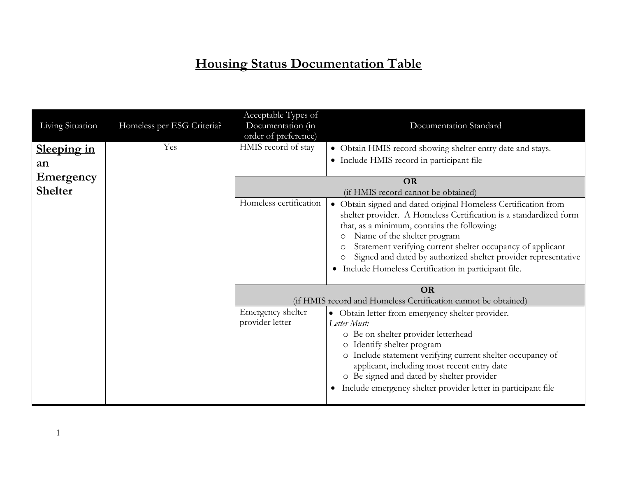## **Housing Status Documentation Table**

|                                    |                            | Acceptable Types of                              |                                                                                                                                                                                                                                                                                                                                                                                                          |  |
|------------------------------------|----------------------------|--------------------------------------------------|----------------------------------------------------------------------------------------------------------------------------------------------------------------------------------------------------------------------------------------------------------------------------------------------------------------------------------------------------------------------------------------------------------|--|
| Living Situation                   | Homeless per ESG Criteria? | Documentation (in<br>order of preference)        | Documentation Standard                                                                                                                                                                                                                                                                                                                                                                                   |  |
| <u>Sleeping in</u><br><u>an</u>    | Yes                        | HMIS record of stay                              | • Obtain HMIS record showing shelter entry date and stays.<br>• Include HMIS record in participant file                                                                                                                                                                                                                                                                                                  |  |
| <b>Emergency</b><br><b>Shelter</b> |                            | <b>OR</b><br>(if HMIS record cannot be obtained) |                                                                                                                                                                                                                                                                                                                                                                                                          |  |
|                                    |                            | Homeless certification                           | · Obtain signed and dated original Homeless Certification from<br>shelter provider. A Homeless Certification is a standardized form<br>that, as a minimum, contains the following:<br>Name of the shelter program<br>Statement verifying current shelter occupancy of applicant<br>Signed and dated by authorized shelter provider representative<br>Include Homeless Certification in participant file. |  |
|                                    |                            |                                                  | <b>OR</b><br>(if HMIS record and Homeless Certification cannot be obtained)                                                                                                                                                                                                                                                                                                                              |  |
|                                    |                            | Emergency shelter<br>provider letter             | • Obtain letter from emergency shelter provider.<br>Letter Must:<br>o Be on shelter provider letterhead<br>Identify shelter program<br>$\circ$<br>o Include statement verifying current shelter occupancy of<br>applicant, including most recent entry date<br>o Be signed and dated by shelter provider<br>Include emergency shelter provider letter in participant file<br>$\bullet$                   |  |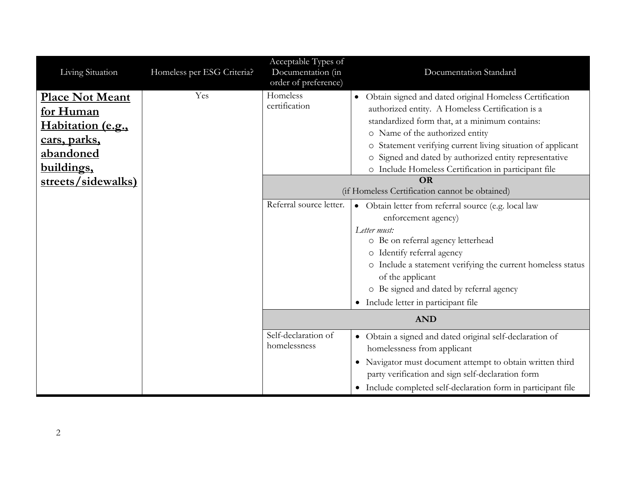| Living Situation                                                                                    | Homeless per ESG Criteria? | Acceptable Types of<br>Documentation (in<br>order of preference) | Documentation Standard                                                                                                                                                                                                                                                                                                                                                            |
|-----------------------------------------------------------------------------------------------------|----------------------------|------------------------------------------------------------------|-----------------------------------------------------------------------------------------------------------------------------------------------------------------------------------------------------------------------------------------------------------------------------------------------------------------------------------------------------------------------------------|
| <b>Place Not Meant</b><br>for Human<br>Habitation (e.g.,<br>cars, parks,<br>abandoned<br>buildings, | Yes                        | Homeless<br>certification                                        | Obtain signed and dated original Homeless Certification<br>authorized entity. A Homeless Certification is a<br>standardized form that, at a minimum contains:<br>o Name of the authorized entity<br>o Statement verifying current living situation of applicant<br>o Signed and dated by authorized entity representative<br>o Include Homeless Certification in participant file |
| streets/sidewalks)                                                                                  |                            |                                                                  | OR<br>(if Homeless Certification cannot be obtained)                                                                                                                                                                                                                                                                                                                              |
|                                                                                                     |                            | Referral source letter.                                          | · Obtain letter from referral source (e.g. local law<br>enforcement agency)<br>Letter must:<br>o Be on referral agency letterhead<br>o Identify referral agency<br>o Include a statement verifying the current homeless status<br>of the applicant<br>o Be signed and dated by referral agency<br>Include letter in participant file<br>$\bullet$                                 |
|                                                                                                     |                            |                                                                  | <b>AND</b>                                                                                                                                                                                                                                                                                                                                                                        |
|                                                                                                     |                            | Self-declaration of<br>homelessness                              | Obtain a signed and dated original self-declaration of<br>$\bullet$<br>homelessness from applicant<br>Navigator must document attempt to obtain written third<br>$\bullet$<br>party verification and sign self-declaration form<br>Include completed self-declaration form in participant file<br>$\bullet$                                                                       |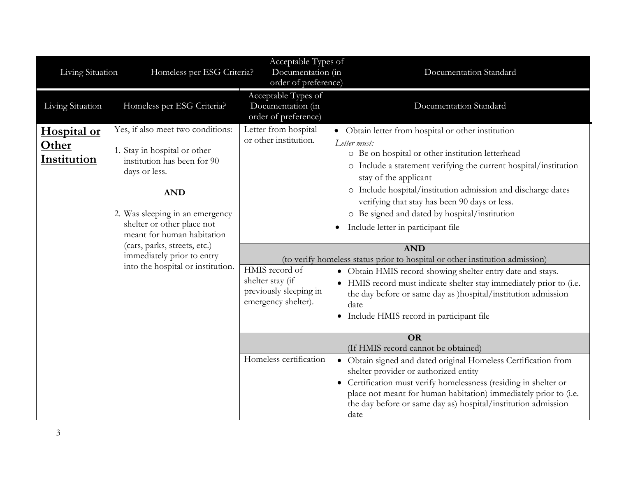| Living Situation                                                                                | Homeless per ESG Criteria?                                                                                                                                                                                                     | Acceptable Types of<br>Documentation (in<br>order of preference)                                                                                                                                                                                                                                                                                      | Documentation Standard                                                                                                                                                                                                                                                                                                                                                                                                         |
|-------------------------------------------------------------------------------------------------|--------------------------------------------------------------------------------------------------------------------------------------------------------------------------------------------------------------------------------|-------------------------------------------------------------------------------------------------------------------------------------------------------------------------------------------------------------------------------------------------------------------------------------------------------------------------------------------------------|--------------------------------------------------------------------------------------------------------------------------------------------------------------------------------------------------------------------------------------------------------------------------------------------------------------------------------------------------------------------------------------------------------------------------------|
| Living Situation                                                                                | Homeless per ESG Criteria?                                                                                                                                                                                                     | Acceptable Types of<br>Documentation (in<br>order of preference)                                                                                                                                                                                                                                                                                      | Documentation Standard                                                                                                                                                                                                                                                                                                                                                                                                         |
| Hospital or<br>Other<br>Institution                                                             | Yes, if also meet two conditions:<br>1. Stay in hospital or other<br>institution has been for 90<br>days or less.<br><b>AND</b><br>2. Was sleeping in an emergency<br>shelter or other place not<br>meant for human habitation | Letter from hospital<br>or other institution.                                                                                                                                                                                                                                                                                                         | • Obtain letter from hospital or other institution<br>Letter must:<br>o Be on hospital or other institution letterhead<br>Include a statement verifying the current hospital/institution<br>O<br>stay of the applicant<br>o Include hospital/institution admission and discharge dates<br>verifying that stay has been 90 days or less.<br>o Be signed and dated by hospital/institution<br>Include letter in participant file |
| (cars, parks, streets, etc.)<br>immediately prior to entry<br>into the hospital or institution. | HMIS record of<br>shelter stay (if<br>previously sleeping in<br>emergency shelter).                                                                                                                                            | <b>AND</b><br>(to verify homeless status prior to hospital or other institution admission)<br>· Obtain HMIS record showing shelter entry date and stays.<br>• HMIS record must indicate shelter stay immediately prior to (i.e.<br>the day before or same day as )hospital/institution admission<br>date<br>• Include HMIS record in participant file |                                                                                                                                                                                                                                                                                                                                                                                                                                |
|                                                                                                 |                                                                                                                                                                                                                                | Homeless certification                                                                                                                                                                                                                                                                                                                                | <b>OR</b><br>(If HMIS record cannot be obtained)<br>• Obtain signed and dated original Homeless Certification from<br>shelter provider or authorized entity<br>Certification must verify homelessness (residing in shelter or<br>place not meant for human habitation) immediately prior to (i.e.<br>the day before or same day as) hospital/institution admission<br>date                                                     |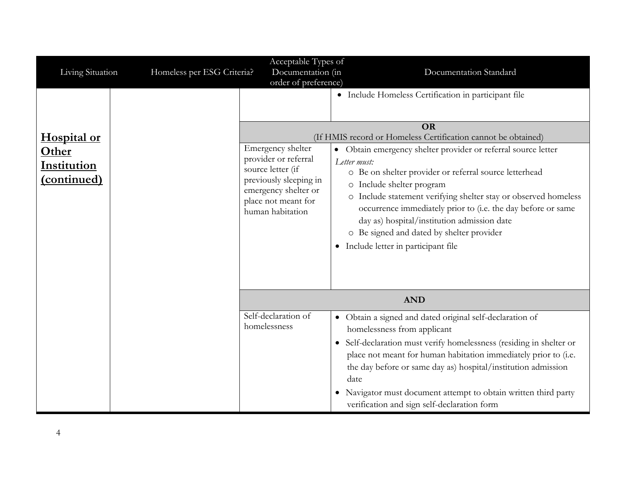| Living Situation                                          | Homeless per ESG Criteria? | Acceptable Types of<br>Documentation (in                                                                                                                                            | Documentation Standard                                                                                                                                                                                                                                                                                                                                                                                                                                                                                                                                                                                  |
|-----------------------------------------------------------|----------------------------|-------------------------------------------------------------------------------------------------------------------------------------------------------------------------------------|---------------------------------------------------------------------------------------------------------------------------------------------------------------------------------------------------------------------------------------------------------------------------------------------------------------------------------------------------------------------------------------------------------------------------------------------------------------------------------------------------------------------------------------------------------------------------------------------------------|
| Hospital or<br>Other<br><b>Institution</b><br>(continued) |                            | order of preference)<br>Emergency shelter<br>provider or referral<br>source letter (if<br>previously sleeping in<br>emergency shelter or<br>place not meant for<br>human habitation | · Include Homeless Certification in participant file<br><b>OR</b><br>(If HMIS record or Homeless Certification cannot be obtained)<br>Obtain emergency shelter provider or referral source letter<br>$\bullet$<br>Letter must:<br>o Be on shelter provider or referral source letterhead<br>o Include shelter program<br>o Include statement verifying shelter stay or observed homeless<br>occurrence immediately prior to (i.e. the day before or same<br>day as) hospital/institution admission date<br>o Be signed and dated by shelter provider<br>Include letter in participant file<br>$\bullet$ |
|                                                           |                            |                                                                                                                                                                                     | <b>AND</b>                                                                                                                                                                                                                                                                                                                                                                                                                                                                                                                                                                                              |
|                                                           |                            | Self-declaration of<br>homelessness                                                                                                                                                 | · Obtain a signed and dated original self-declaration of<br>homelessness from applicant<br>Self-declaration must verify homelessness (residing in shelter or<br>$\bullet$<br>place not meant for human habitation immediately prior to (i.e.<br>the day before or same day as) hospital/institution admission<br>date<br>Navigator must document attempt to obtain written third party<br>verification and sign self-declaration form                                                                                                                                                                   |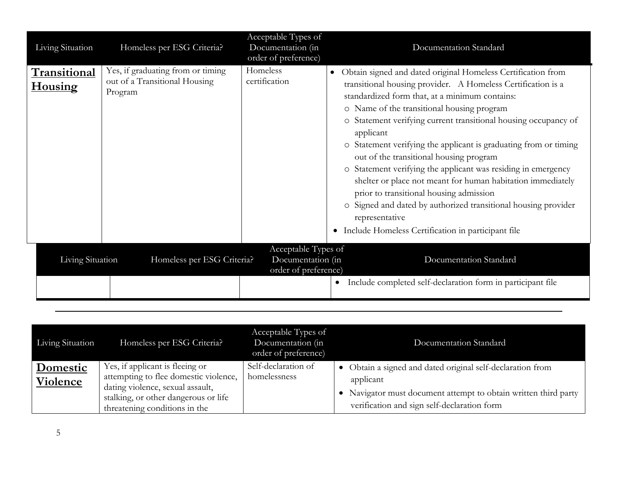| Living Situation               | Homeless per ESG Criteria?                                                    | Acceptable Types of<br>Documentation (in<br>order of preference) | Documentation Standard                                                                                                                                                                                                                                                                                                                                                                                                                                                                                                                                                                                                                                                                                                                                                          |
|--------------------------------|-------------------------------------------------------------------------------|------------------------------------------------------------------|---------------------------------------------------------------------------------------------------------------------------------------------------------------------------------------------------------------------------------------------------------------------------------------------------------------------------------------------------------------------------------------------------------------------------------------------------------------------------------------------------------------------------------------------------------------------------------------------------------------------------------------------------------------------------------------------------------------------------------------------------------------------------------|
| Transitional<br><b>Housing</b> | Yes, if graduating from or timing<br>out of a Transitional Housing<br>Program | Homeless<br>certification                                        | Obtain signed and dated original Homeless Certification from<br>transitional housing provider. A Homeless Certification is a<br>standardized form that, at a minimum contains:<br>o Name of the transitional housing program<br>o Statement verifying current transitional housing occupancy of<br>applicant<br>Statement verifying the applicant is graduating from or timing<br>$\circ$<br>out of the transitional housing program<br>o Statement verifying the applicant was residing in emergency<br>shelter or place not meant for human habitation immediately<br>prior to transitional housing admission<br>Signed and dated by authorized transitional housing provider<br>$\circ$<br>representative<br>Include Homeless Certification in participant file<br>$\bullet$ |
| Living Situation               | Homeless per ESG Criteria?                                                    | Acceptable Types of<br>Documentation (in<br>order of preference) | Documentation Standard                                                                                                                                                                                                                                                                                                                                                                                                                                                                                                                                                                                                                                                                                                                                                          |
|                                |                                                                               |                                                                  | Include completed self-declaration form in participant file<br>$\bullet$                                                                                                                                                                                                                                                                                                                                                                                                                                                                                                                                                                                                                                                                                                        |

| Living Situation                   | Homeless per ESG Criteria?                                                                                                                                                            | Acceptable Types of<br>Documentation (in<br>order of preference) | Documentation Standard                                                                                                                                                                |
|------------------------------------|---------------------------------------------------------------------------------------------------------------------------------------------------------------------------------------|------------------------------------------------------------------|---------------------------------------------------------------------------------------------------------------------------------------------------------------------------------------|
| <b>Domestic</b><br><b>Violence</b> | Yes, if applicant is fleeing or<br>attempting to flee domestic violence,<br>dating violence, sexual assault,<br>stalking, or other dangerous or life<br>threatening conditions in the | Self-declaration of<br>homelessness                              | Obtain a signed and dated original self-declaration from<br>applicant<br>Navigator must document attempt to obtain written third party<br>verification and sign self-declaration form |